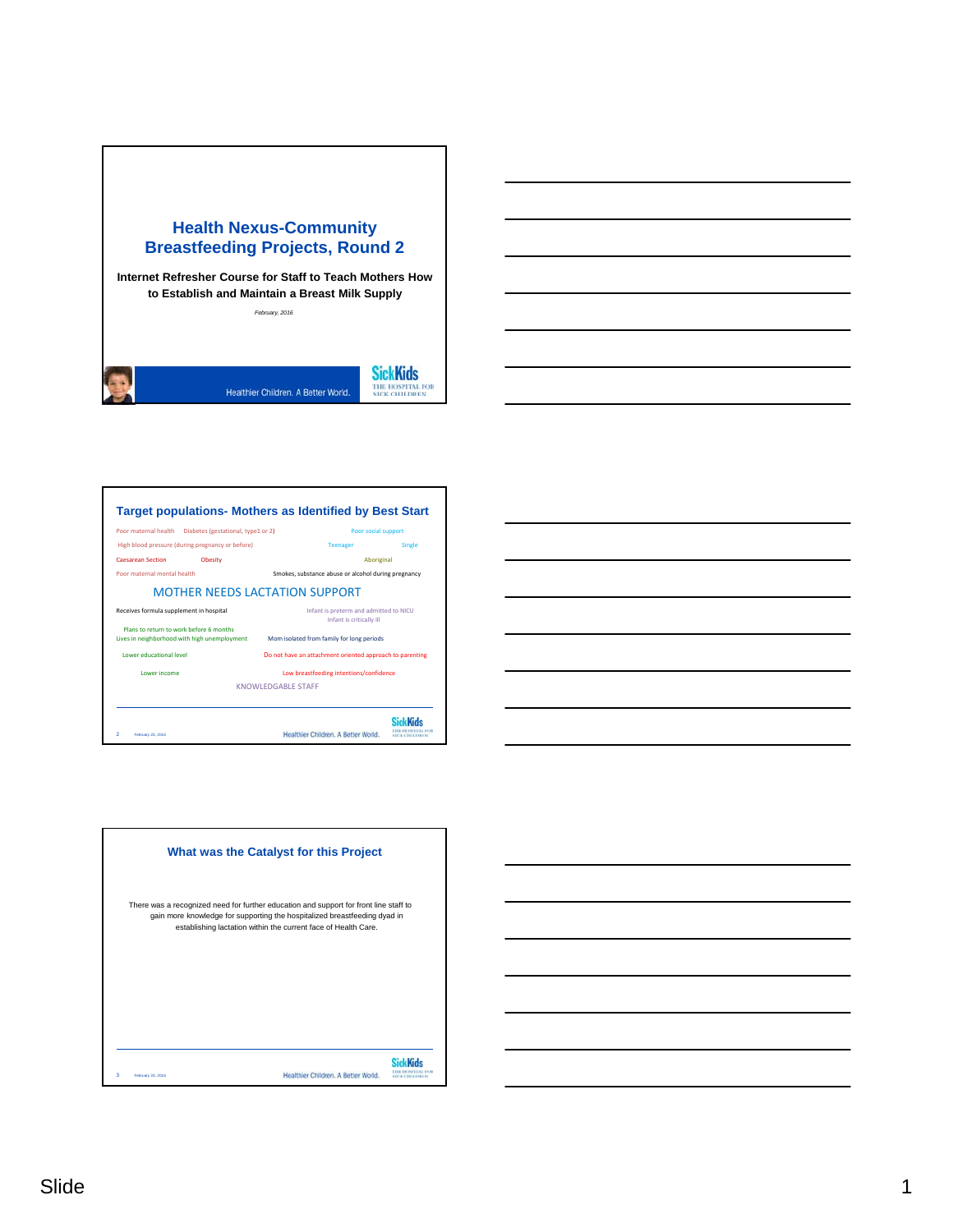







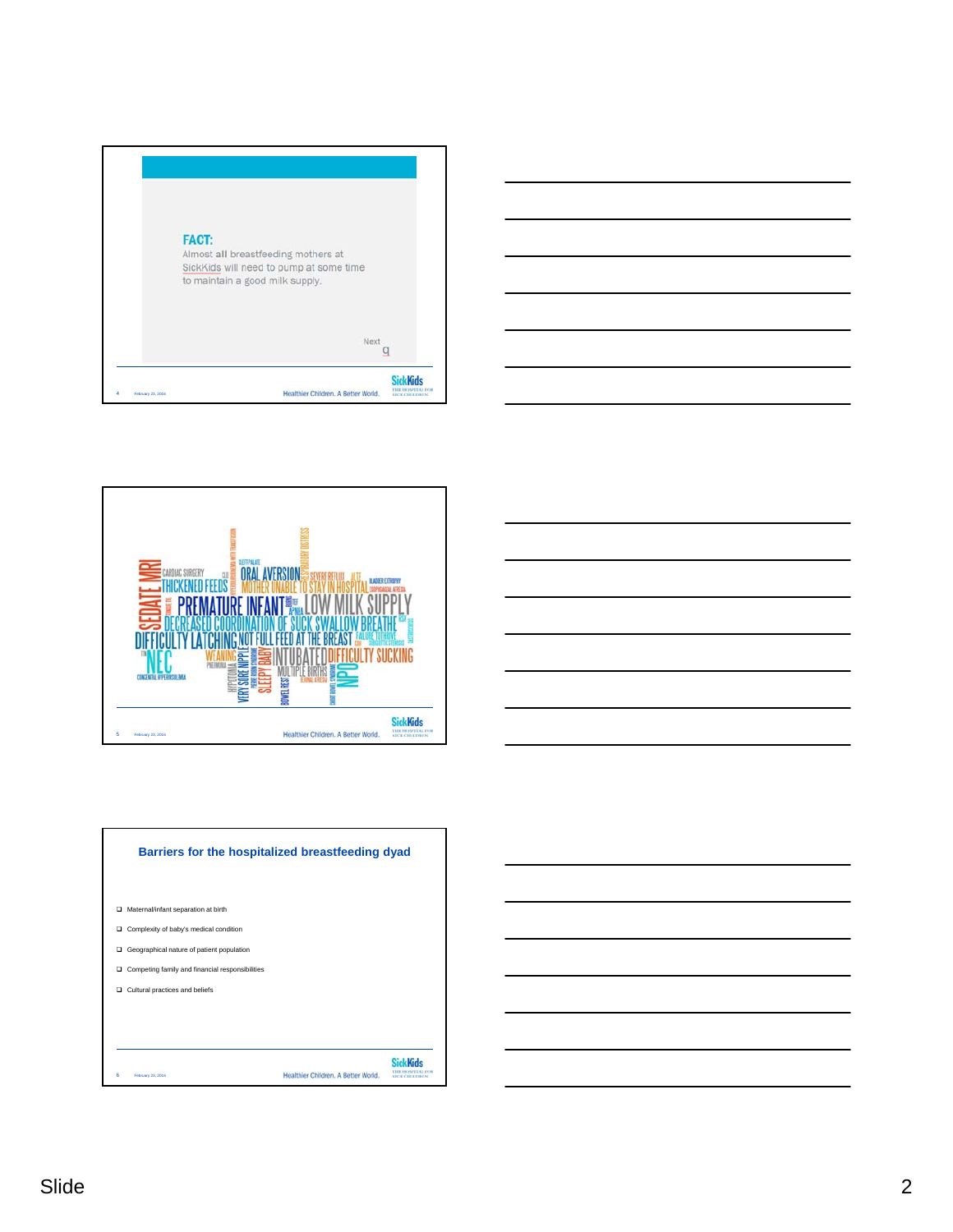







| Barriers for the hospitalized breastfeeding dyad     |                                     |                   |
|------------------------------------------------------|-------------------------------------|-------------------|
|                                                      |                                     |                   |
| Maternal/infant separation at birth<br>▫             |                                     |                   |
| Complexity of baby's medical condition<br>▫          |                                     |                   |
| Geographical nature of patient population<br>▫       |                                     |                   |
| Competing family and financial responsibilities<br>▫ |                                     |                   |
| Cultural practices and beliefs<br>▫                  |                                     |                   |
|                                                      |                                     |                   |
|                                                      |                                     |                   |
| в<br>February 23, 2016                               | Healthier Children, A Better World. | <b>DOCUMENTAL</b> |

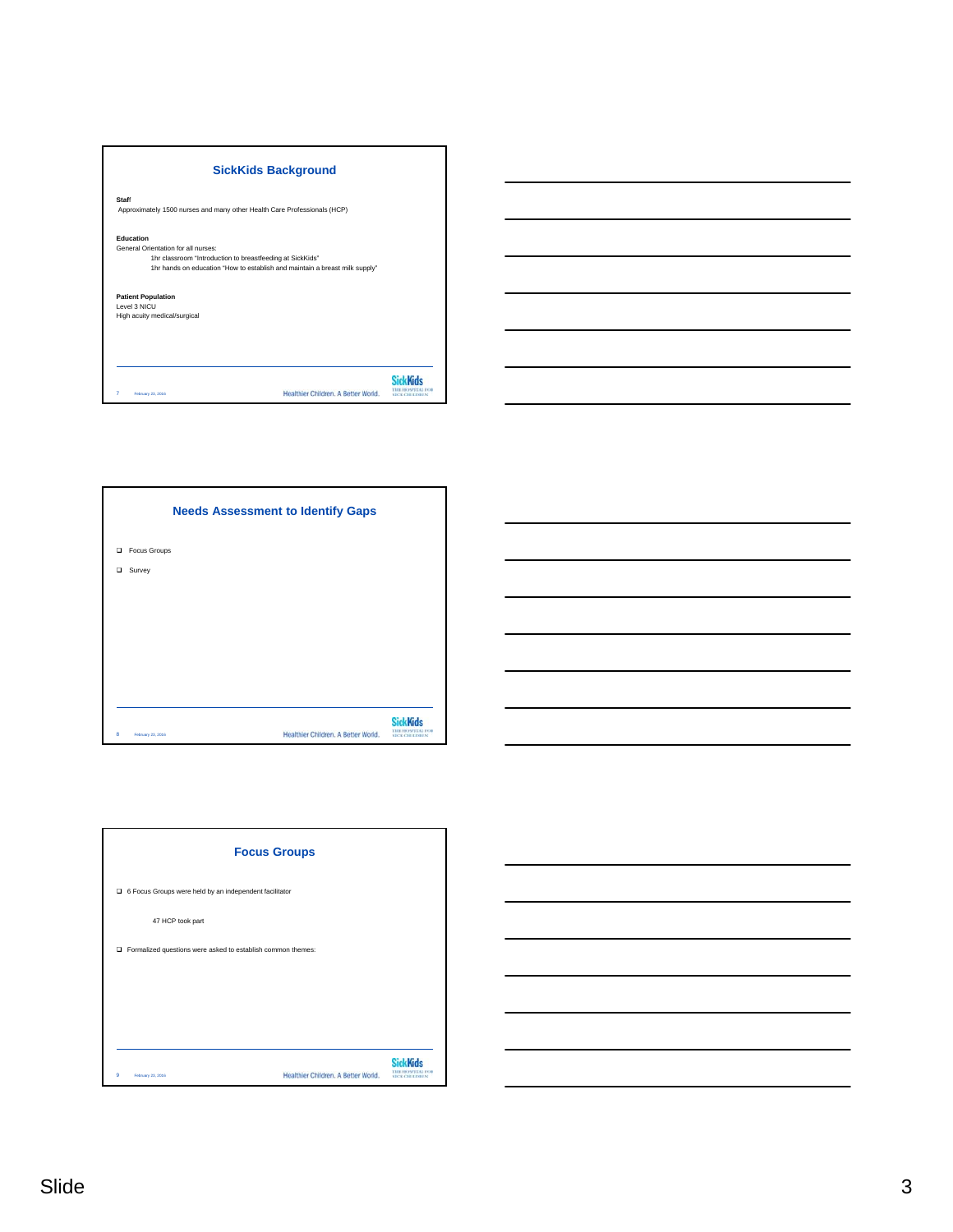| <b>SickKids Background</b>                                                                                                                                                                   |  |
|----------------------------------------------------------------------------------------------------------------------------------------------------------------------------------------------|--|
| Staff<br>Approximately 1500 nurses and many other Health Care Professionals (HCP)                                                                                                            |  |
| Education<br>General Orientation for all nurses:<br>1hr classroom "Introduction to breastfeeding at SickKids"<br>1hr hands on education "How to establish and maintain a breast milk supply" |  |
| <b>Patient Population</b><br>Level 3 NICU<br>High acuity medical/surgical                                                                                                                    |  |
|                                                                                                                                                                                              |  |
| Healthier Children, A Better World.<br>7<br>February 23, 2016                                                                                                                                |  |



| <b>Needs Assessment to Identify Gaps</b> |                                     |                      |
|------------------------------------------|-------------------------------------|----------------------|
| <b>Focus Groups</b><br>$\Box$            |                                     |                      |
| Survey<br>$\Box$                         |                                     |                      |
|                                          |                                     |                      |
|                                          |                                     |                      |
|                                          |                                     |                      |
|                                          |                                     |                      |
|                                          |                                     |                      |
| 8<br>February 23, 2016                   | Healthier Children. A Better World. | <b>SICK CHILDREN</b> |



|                                                               | <b>Focus Groups</b>                 |                      |
|---------------------------------------------------------------|-------------------------------------|----------------------|
| G Focus Groups were held by an independent facilitator        |                                     |                      |
| 47 HCP took part                                              |                                     |                      |
| □ Formalized questions were asked to establish common themes: |                                     |                      |
|                                                               |                                     |                      |
|                                                               |                                     |                      |
|                                                               |                                     |                      |
| 9<br>February 23, 2016                                        | Healthier Children, A Better World. | <b>SICK CHILDREN</b> |

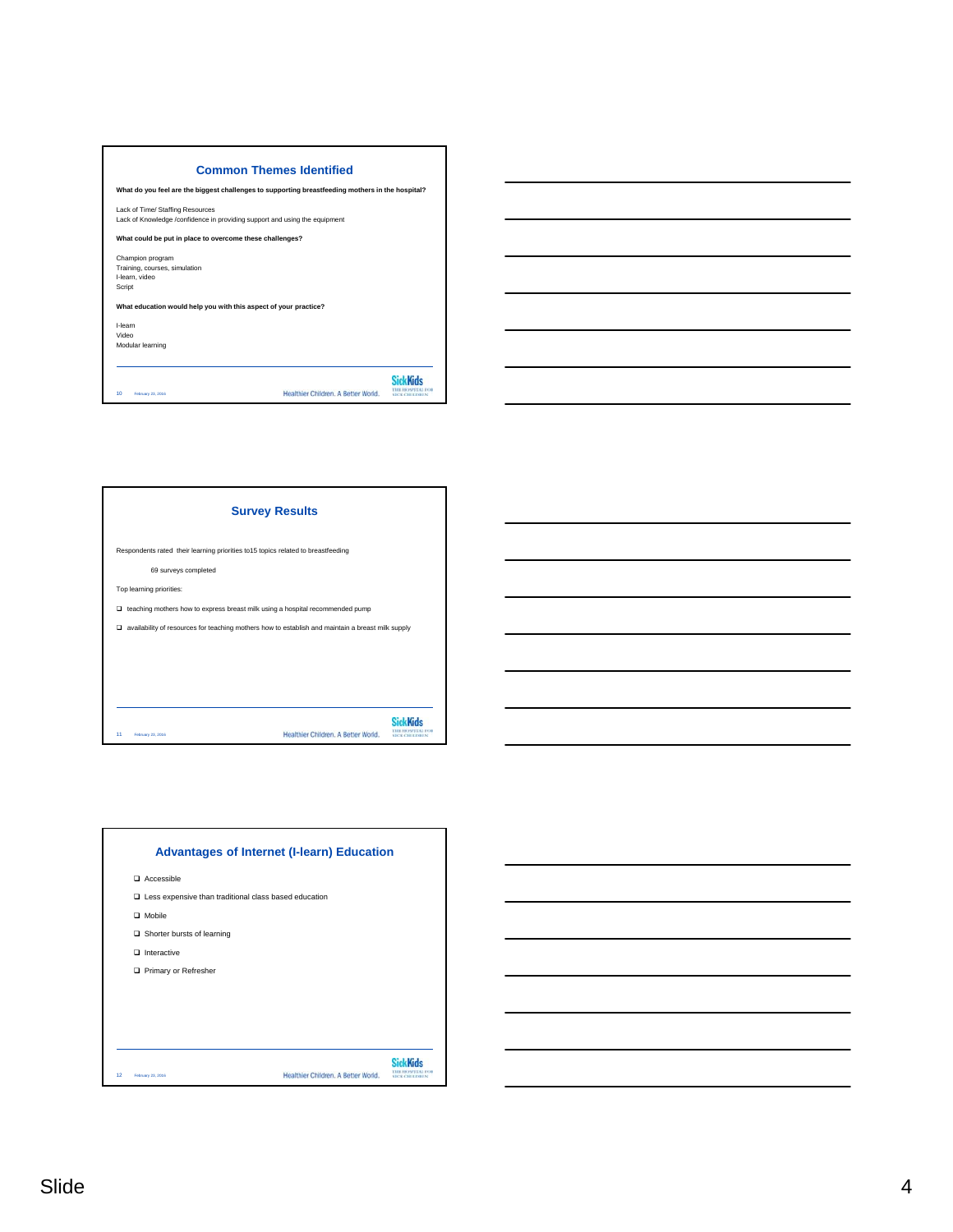

| What do you feel are the biggest challenges to supporting breastfeeding mothers in the hospital?               |                                     |                   |
|----------------------------------------------------------------------------------------------------------------|-------------------------------------|-------------------|
| Lack of Time/ Staffing Resources<br>Lack of Knowledge /confidence in providing support and using the equipment |                                     |                   |
| What could be put in place to overcome these challenges?                                                       |                                     |                   |
| Champion program                                                                                               |                                     |                   |
| Training, courses, simulation                                                                                  |                                     |                   |
| I-learn, video                                                                                                 |                                     |                   |
| Script                                                                                                         |                                     |                   |
| What education would help you with this aspect of your practice?                                               |                                     |                   |
| I-learn                                                                                                        |                                     |                   |
| Video                                                                                                          |                                     |                   |
| Modular learning                                                                                               |                                     |                   |
|                                                                                                                |                                     |                   |
|                                                                                                                |                                     |                   |
|                                                                                                                |                                     |                   |
| 10<br>February 23, 2016                                                                                        | Healthier Children, A Better World. | <b>CK CHILDEN</b> |



| <b>Survey Results</b>                                                                                       |                   |
|-------------------------------------------------------------------------------------------------------------|-------------------|
| Respondents rated their learning priorities to15 topics related to breastfeeding                            |                   |
| 69 surveys completed                                                                                        |                   |
| Top learning priorities:                                                                                    |                   |
| $\Box$ teaching mothers how to express breast milk using a hospital recommended pump                        |                   |
| $\square$ availability of resources for teaching mothers how to establish and maintain a breast milk supply |                   |
|                                                                                                             |                   |
|                                                                                                             |                   |
|                                                                                                             |                   |
|                                                                                                             |                   |
| Healthier Children, A Better World.<br>11<br>February 23, 2016                                              | <b>MCKCHILDER</b> |

| $\Box$ Accessible<br>$\square$ Less expensive than traditional class based education<br>$\Box$ Mobile<br>$\Box$ Shorter bursts of learning<br>$\Box$ Interactive<br>Primary or Refresher<br>Healthier Children, A Better World.<br>February 23, 2016 | <b>Advantages of Internet (I-learn) Education</b> |                   |
|------------------------------------------------------------------------------------------------------------------------------------------------------------------------------------------------------------------------------------------------------|---------------------------------------------------|-------------------|
|                                                                                                                                                                                                                                                      |                                                   |                   |
|                                                                                                                                                                                                                                                      |                                                   |                   |
|                                                                                                                                                                                                                                                      |                                                   |                   |
|                                                                                                                                                                                                                                                      |                                                   |                   |
|                                                                                                                                                                                                                                                      |                                                   |                   |
|                                                                                                                                                                                                                                                      |                                                   |                   |
|                                                                                                                                                                                                                                                      |                                                   |                   |
|                                                                                                                                                                                                                                                      |                                                   |                   |
|                                                                                                                                                                                                                                                      |                                                   |                   |
| 12                                                                                                                                                                                                                                                   |                                                   |                   |
|                                                                                                                                                                                                                                                      |                                                   | <b>DOCUMENTAL</b> |

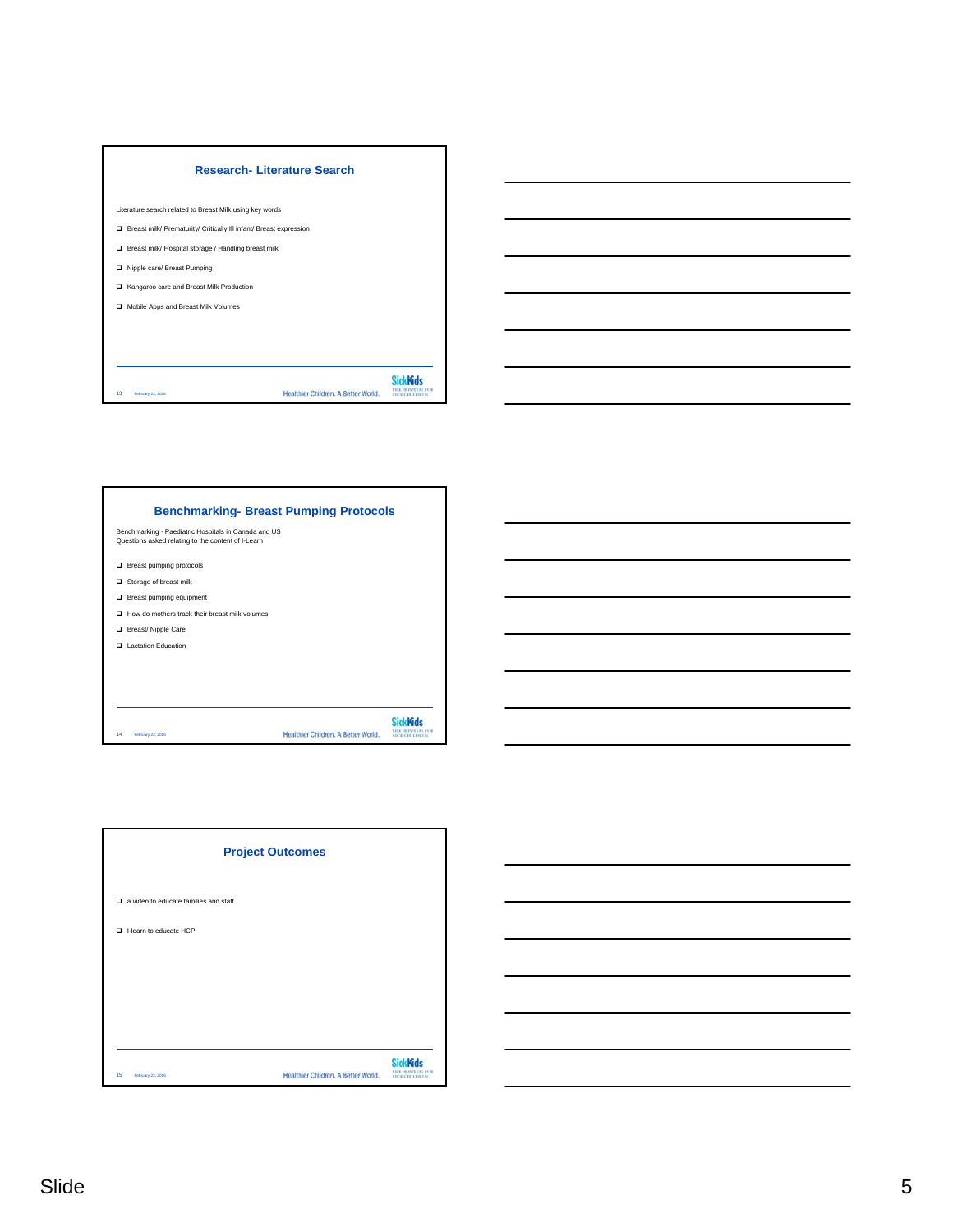| <b>Research-Literature Search</b>                                    |                 |
|----------------------------------------------------------------------|-----------------|
| Literature search related to Breast Milk using key words             |                 |
| □ Breast milk/ Prematurity/ Critically III infant/ Breast expression |                 |
| □ Breast milk/ Hospital storage / Handling breast milk               |                 |
| Nipple care/ Breast Pumping<br>▫                                     |                 |
| □ Kangaroo care and Breast Milk Production                           |                 |
| Mobile Apps and Breast Milk Volumes<br>$\Box$                        |                 |
|                                                                      |                 |
|                                                                      |                 |
|                                                                      |                 |
| Healthier Children, A Better World.<br>13<br>February 23, 2016       | <b>SiekKide</b> |

| __ |
|----|
|    |
|    |
|    |
|    |
|    |
|    |
|    |
|    |

| <b>Benchmarking-Breast Pumping Protocols</b>                                                               |
|------------------------------------------------------------------------------------------------------------|
| Benchmarking - Paediatric Hospitals in Canada and US<br>Questions asked relating to the content of I-Learn |
| $\Box$ Breast pumping protocols                                                                            |
| $\Box$ Storage of breast milk                                                                              |
| $\Box$ Breast pumping equipment                                                                            |
| $\Box$ How do mothers track their breast milk volumes                                                      |
| Breast/Nipple Care                                                                                         |
| □ Lactation Education                                                                                      |
|                                                                                                            |
|                                                                                                            |
|                                                                                                            |
| Healthier Children, A Better World.<br>14<br>February 23, 2016                                             |

| <b>Project Outcomes</b>                      |                                     |                                                      |
|----------------------------------------------|-------------------------------------|------------------------------------------------------|
| $\Box$ a video to educate families and staff |                                     |                                                      |
| I-learn to educate HCP                       |                                     |                                                      |
|                                              |                                     |                                                      |
|                                              |                                     |                                                      |
|                                              |                                     |                                                      |
| 15<br>February 23, 2016                      | Healthier Children. A Better World. | <b>SickKids</b><br><b>COR</b><br><b>MCK CHILDREN</b> |



г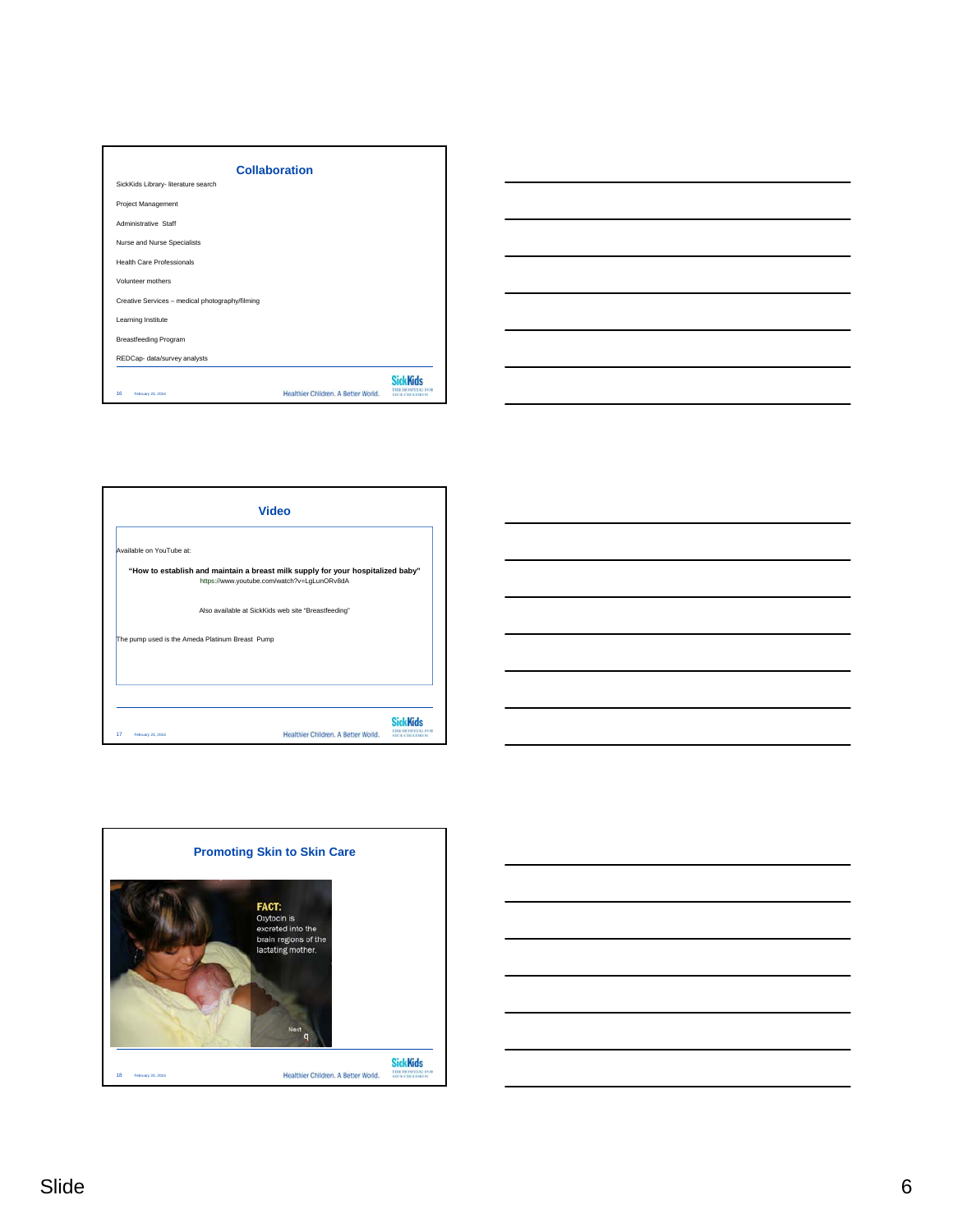| <b>Collaboration</b>                            |                                     |                   |
|-------------------------------------------------|-------------------------------------|-------------------|
| SickKids Library- literature search             |                                     |                   |
| Project Management                              |                                     |                   |
| Administrative Staff                            |                                     |                   |
| Nurse and Nurse Specialists                     |                                     |                   |
| <b>Health Care Professionals</b>                |                                     |                   |
| Volunteer mothers                               |                                     |                   |
| Creative Services - medical photography/filming |                                     |                   |
| Learning Institute                              |                                     |                   |
| <b>Breastfeeding Program</b>                    |                                     |                   |
| REDCap- data/survey analysts                    |                                     |                   |
| 16<br>February 23, 2016                         | Healthier Children, A Better World. | <b>DOCUMENTAL</b> |









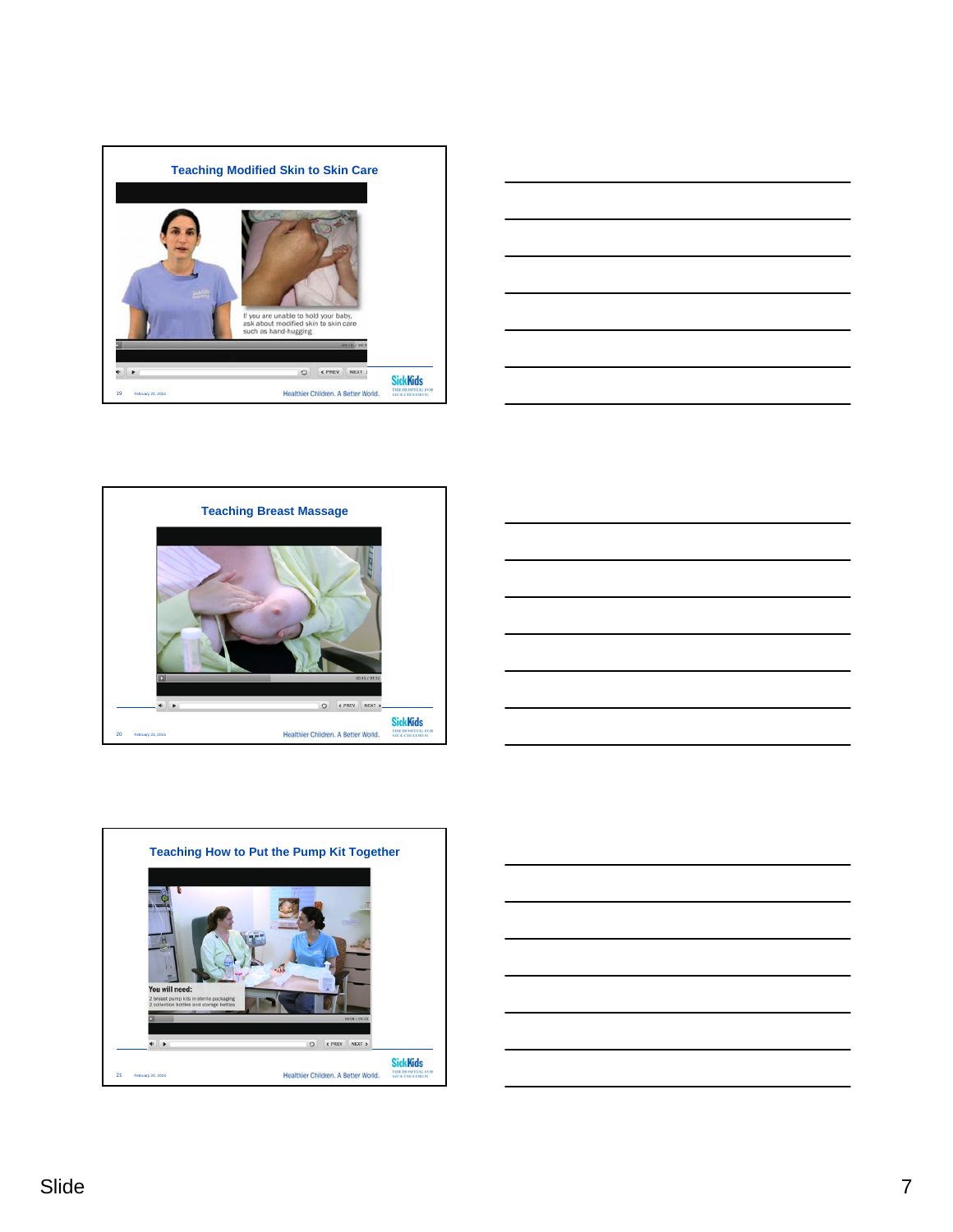









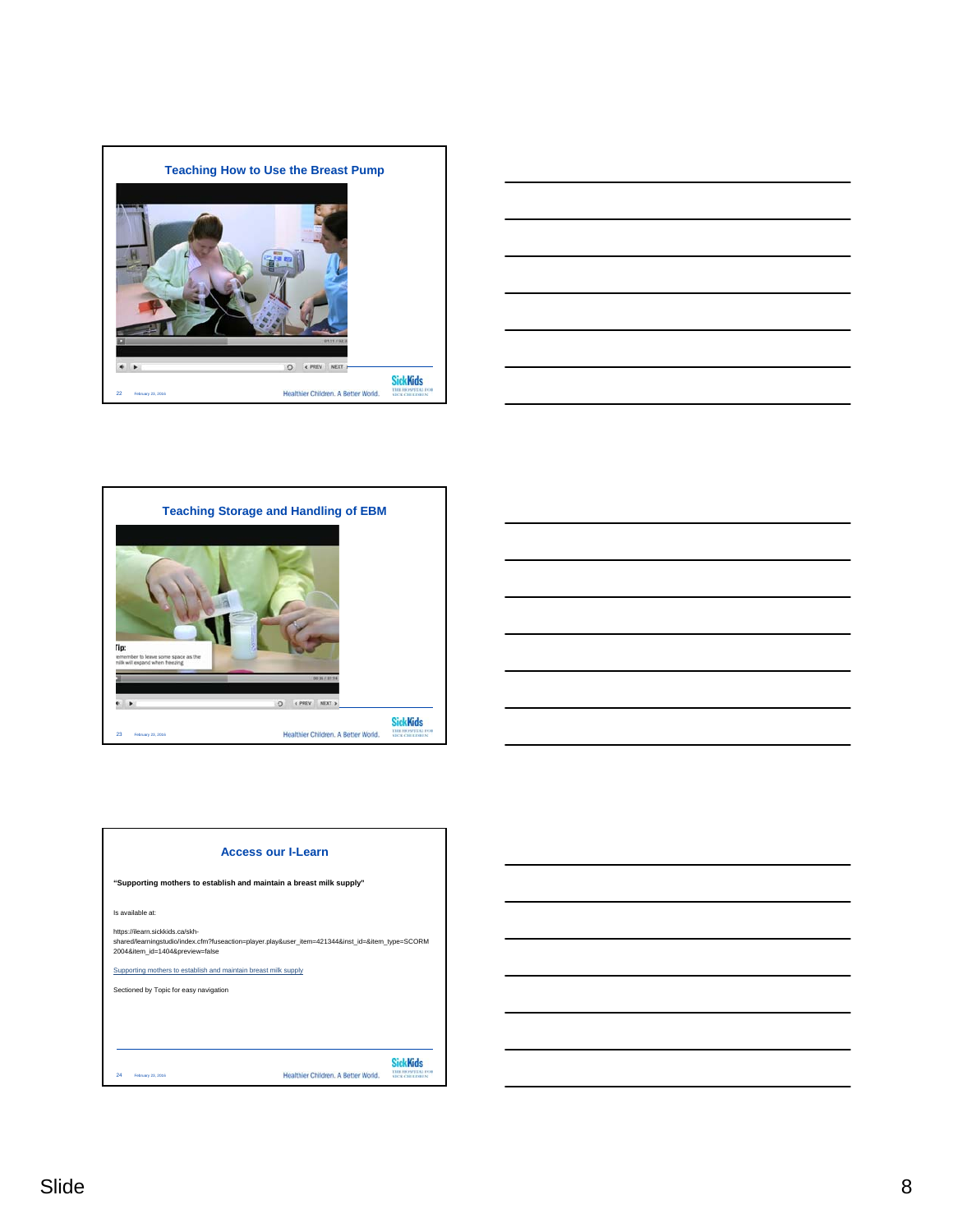







| <b>Access our I-Learn</b>                                                                                                                                              |                                     |                   |  |
|------------------------------------------------------------------------------------------------------------------------------------------------------------------------|-------------------------------------|-------------------|--|
| "Supporting mothers to establish and maintain a breast milk supply"                                                                                                    |                                     |                   |  |
| Is available at:                                                                                                                                                       |                                     |                   |  |
| https://ilearn.sickkids.ca/skh-<br>shared/learningstudio/index.cfm?fuseaction=player.play&user_item=421344&inst_id=&item_type=SCORM<br>2004&item_id=1404&preview=false |                                     |                   |  |
| Supporting mothers to establish and maintain breast milk supply                                                                                                        |                                     |                   |  |
| Sectioned by Topic for easy navigation                                                                                                                                 |                                     |                   |  |
|                                                                                                                                                                        |                                     |                   |  |
|                                                                                                                                                                        |                                     |                   |  |
|                                                                                                                                                                        |                                     |                   |  |
| 24<br>February 23, 2016                                                                                                                                                | Healthier Children, A Better World. | <b>CE CHILDEY</b> |  |

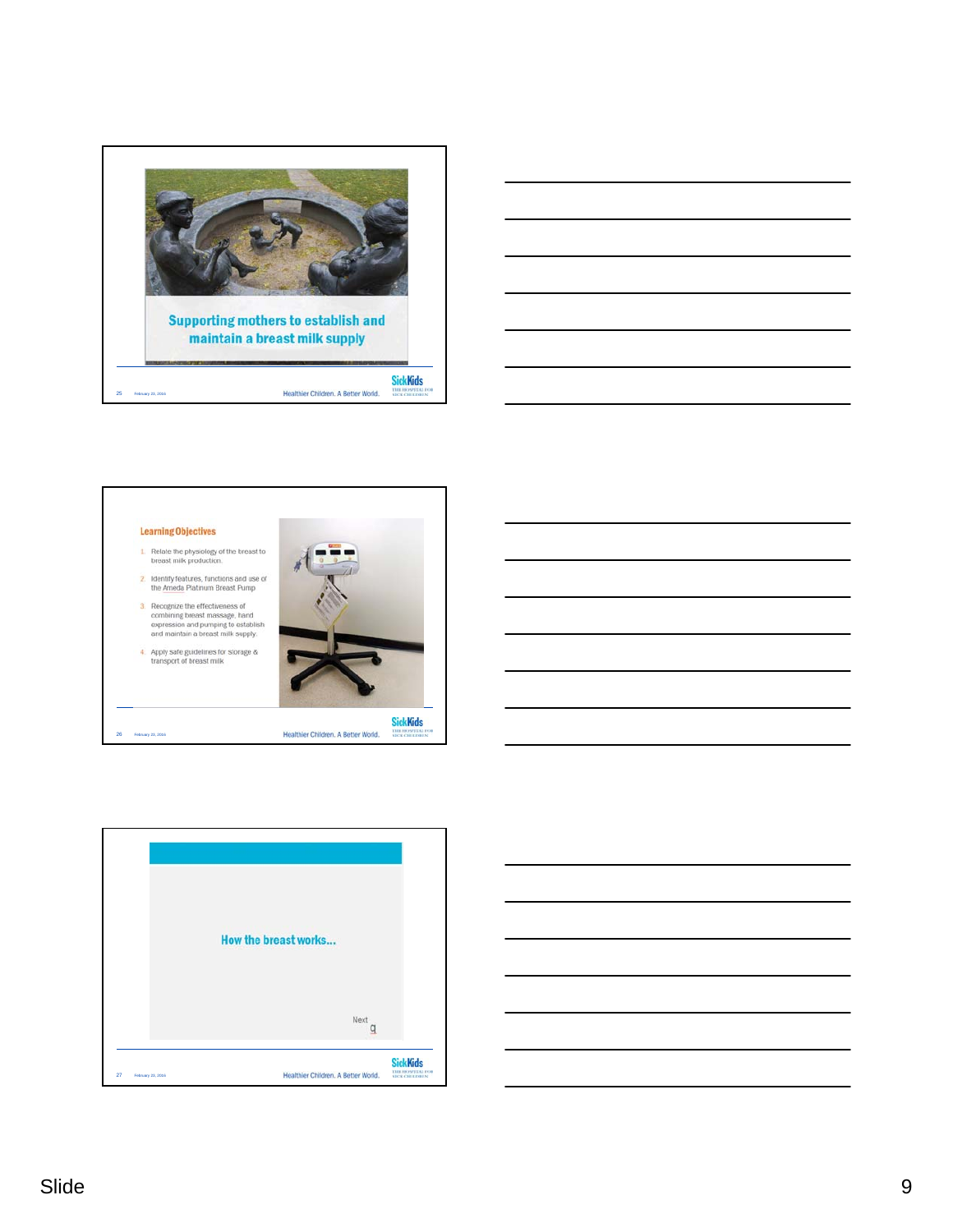







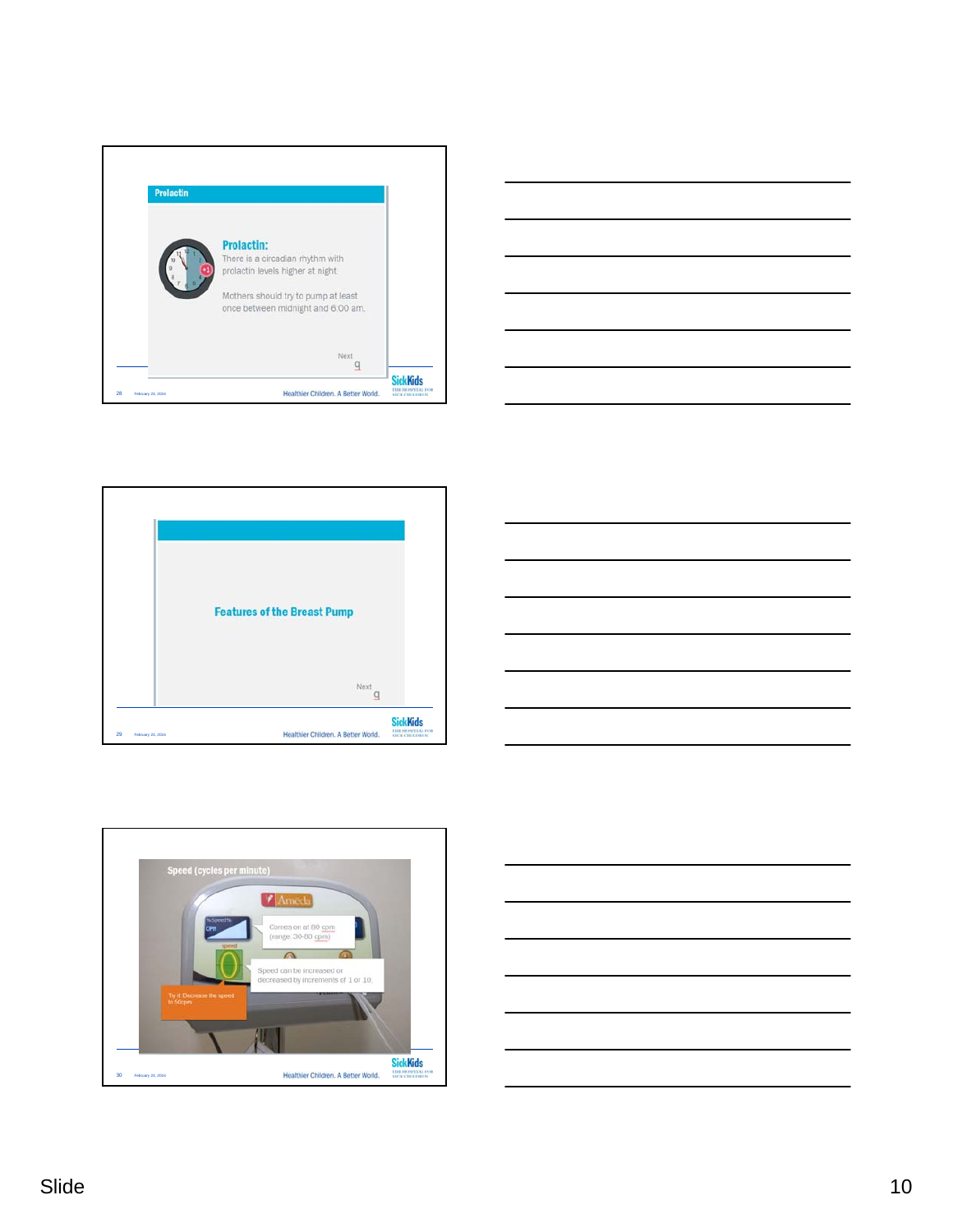









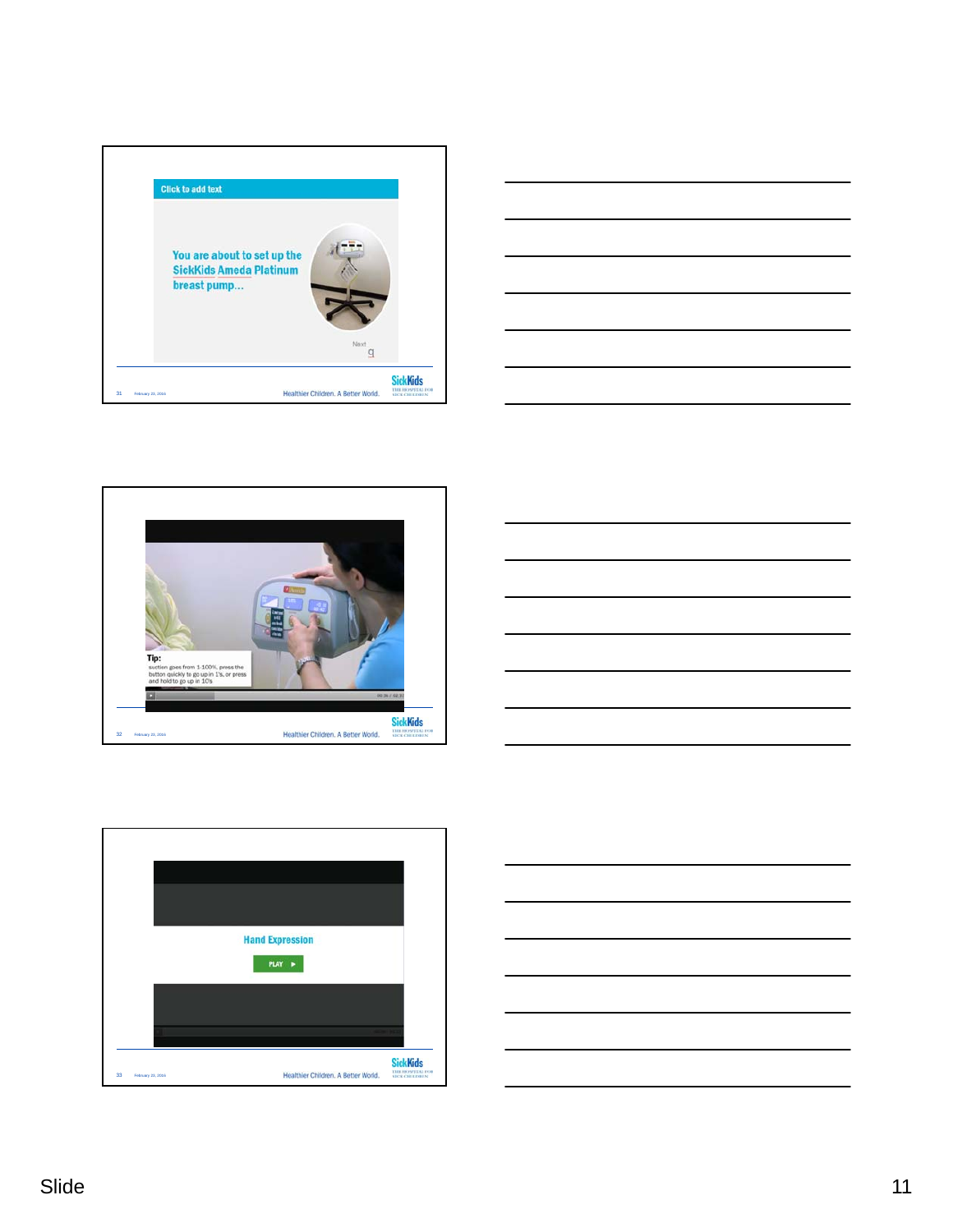









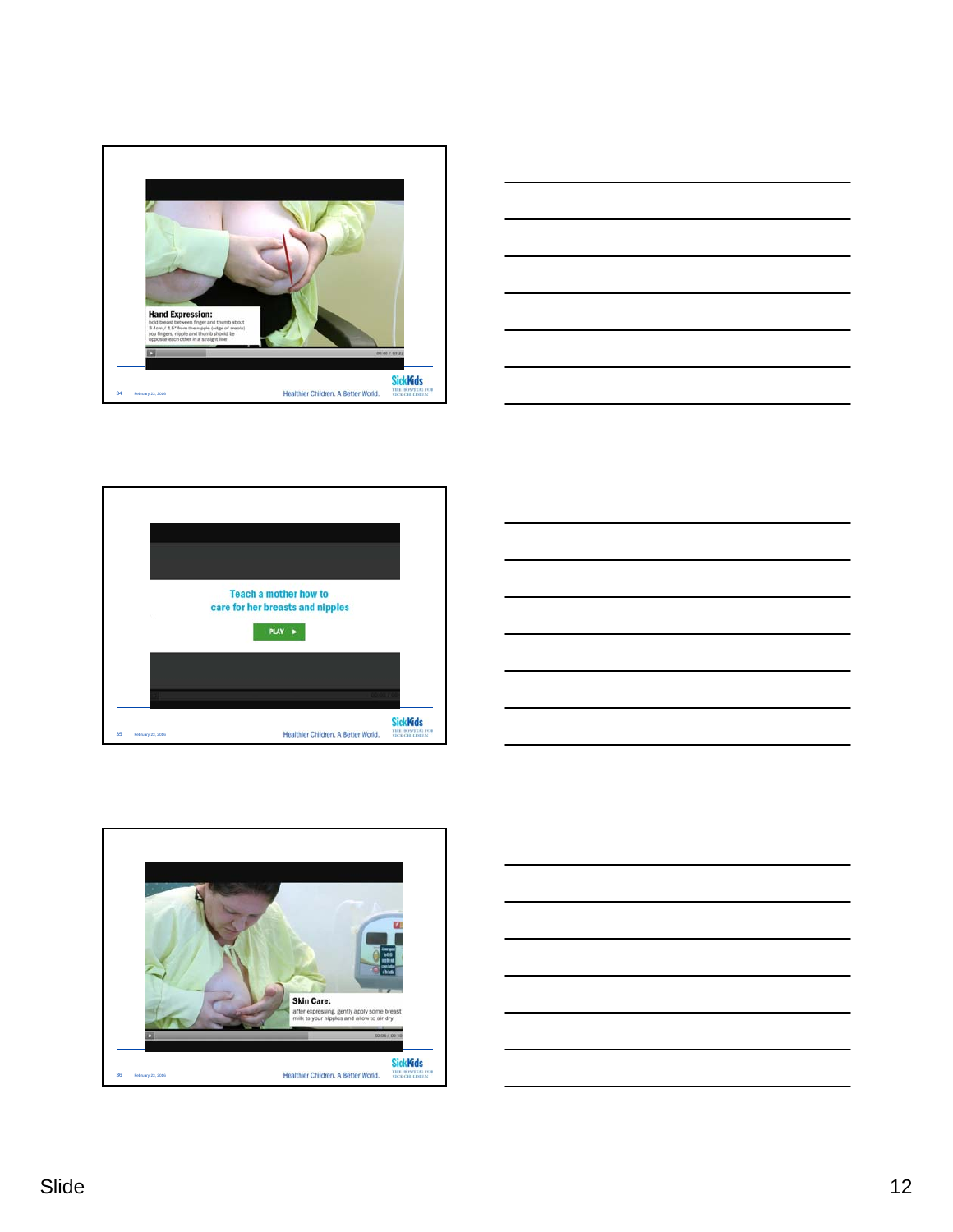









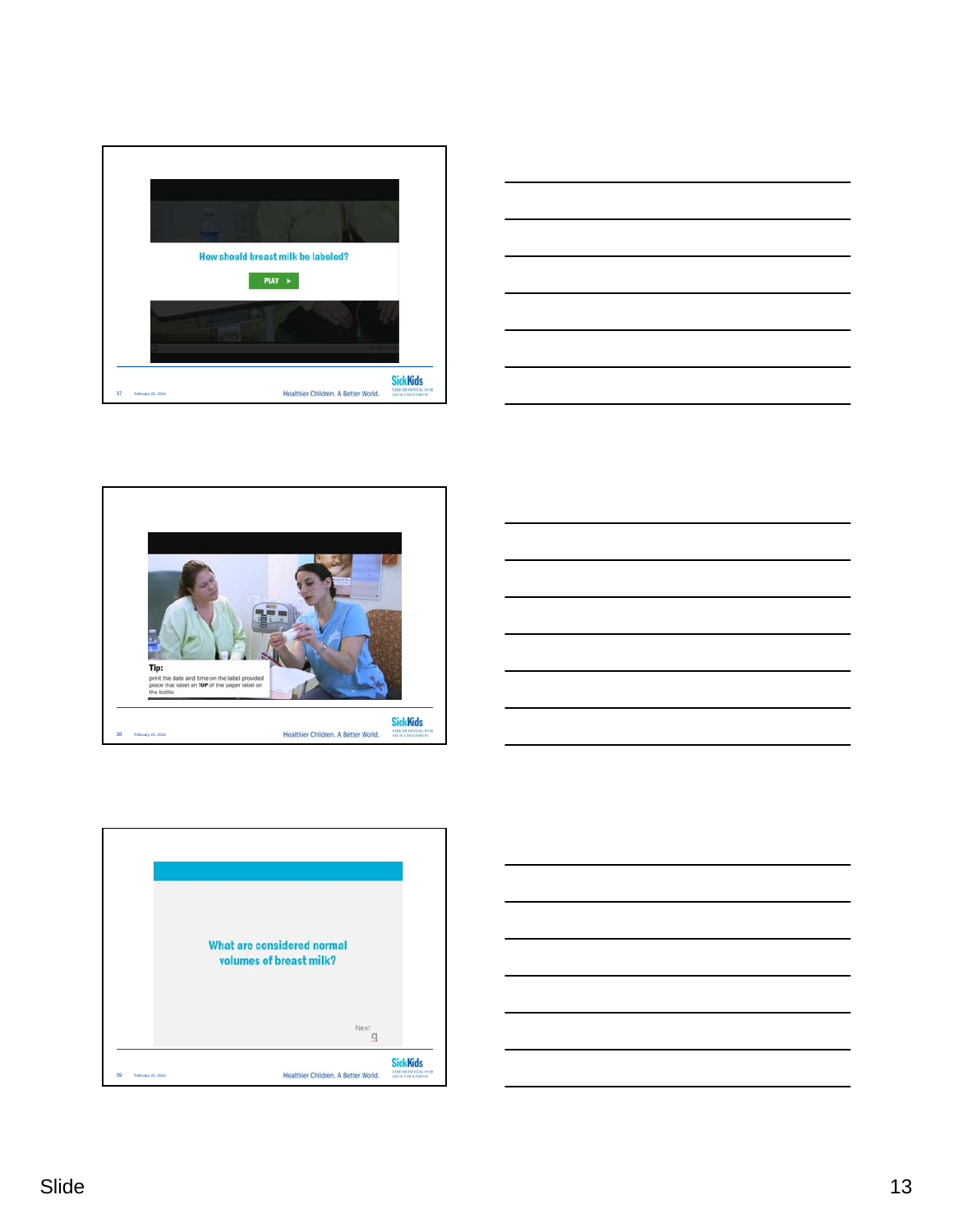









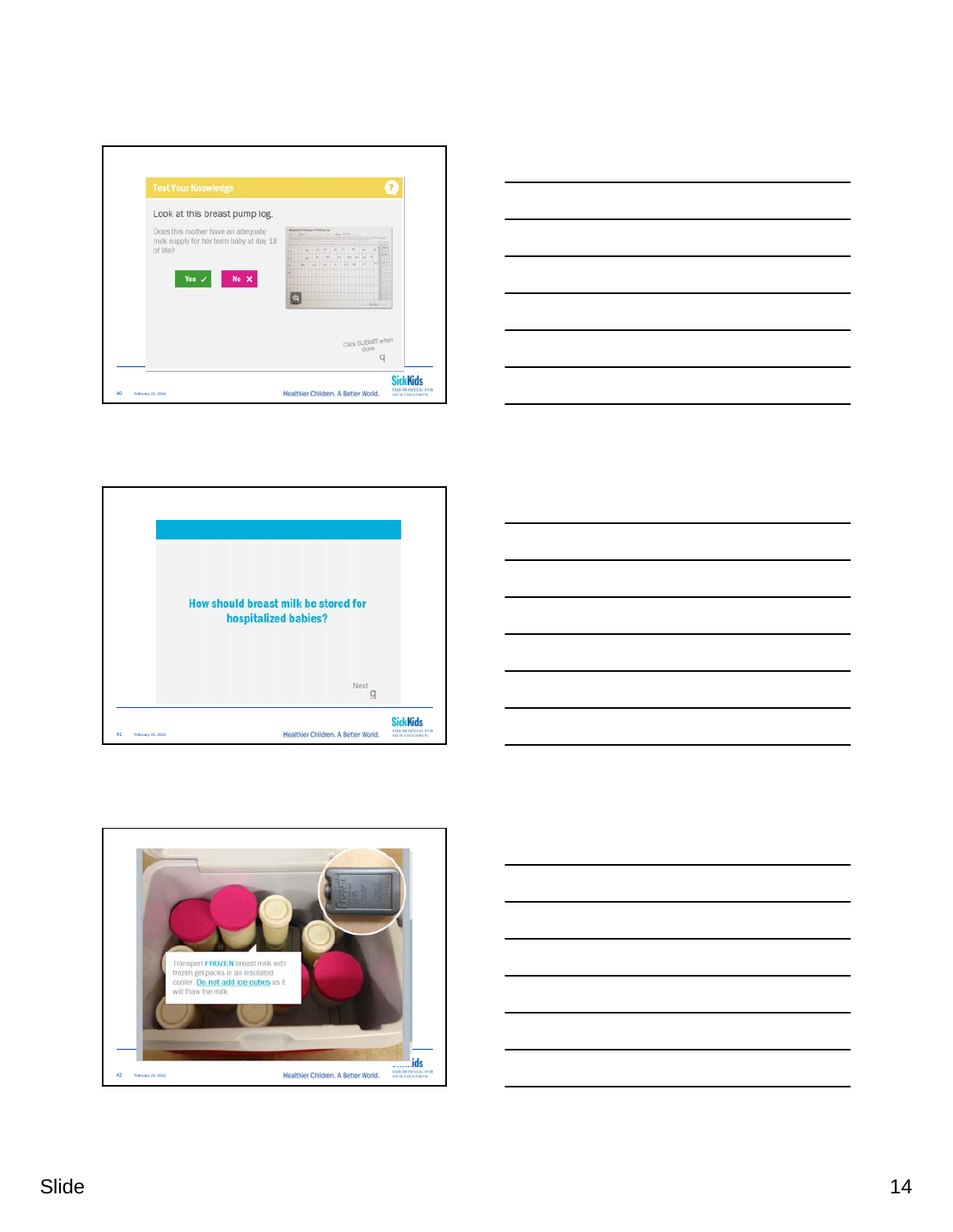









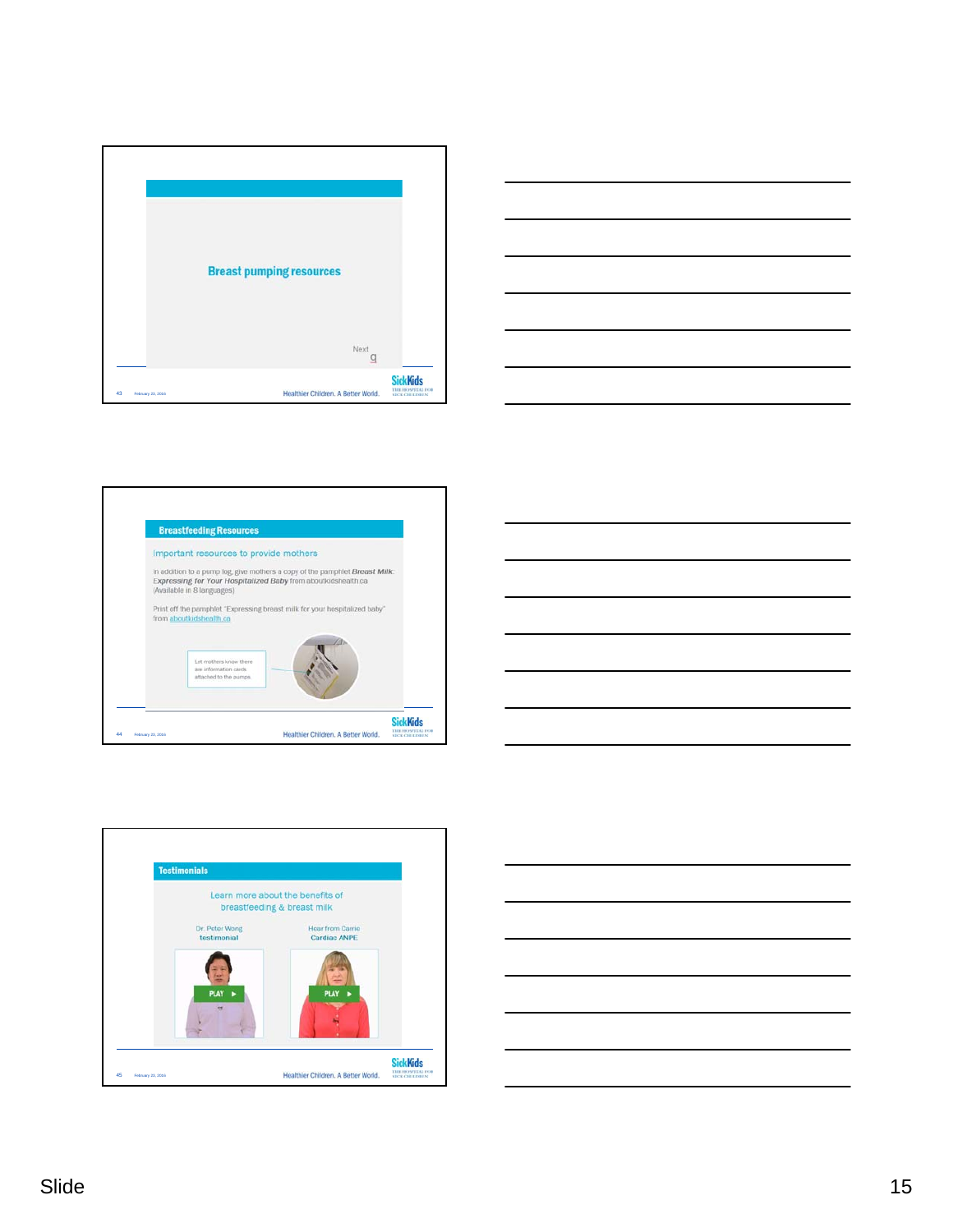